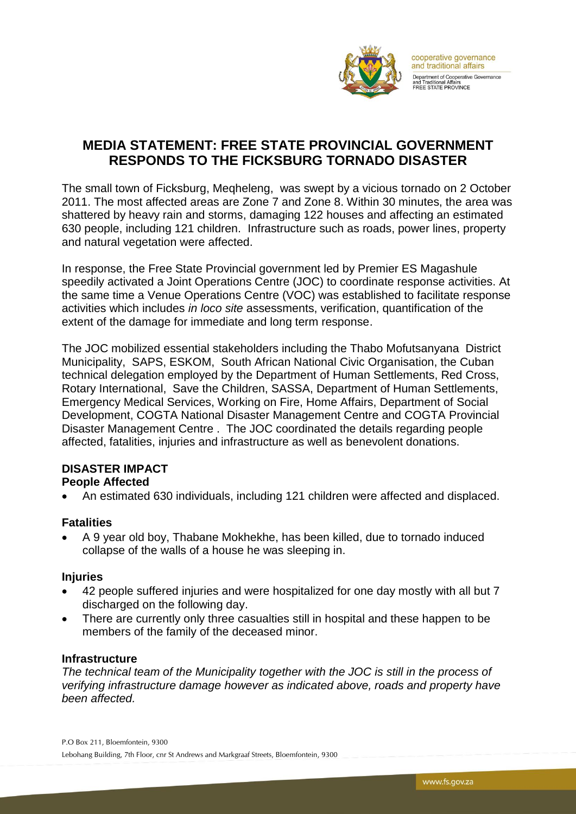

## **MEDIA STATEMENT: FREE STATE PROVINCIAL GOVERNMENT RESPONDS TO THE FICKSBURG TORNADO DISASTER**

The small town of Ficksburg, Meqheleng, was swept by a vicious tornado on 2 October 2011. The most affected areas are Zone 7 and Zone 8. Within 30 minutes, the area was shattered by heavy rain and storms, damaging 122 houses and affecting an estimated 630 people, including 121 children. Infrastructure such as roads, power lines, property and natural vegetation were affected.

In response, the Free State Provincial government led by Premier ES Magashule speedily activated a Joint Operations Centre (JOC) to coordinate response activities. At the same time a Venue Operations Centre (VOC) was established to facilitate response activities which includes *in loco site* assessments, verification, quantification of the extent of the damage for immediate and long term response.

The JOC mobilized essential stakeholders including the Thabo Mofutsanyana District Municipality, SAPS, ESKOM, South African National Civic Organisation, the Cuban technical delegation employed by the Department of Human Settlements, Red Cross, Rotary International, Save the Children, SASSA, Department of Human Settlements, Emergency Medical Services, Working on Fire, Home Affairs, Department of Social Development, COGTA National Disaster Management Centre and COGTA Provincial Disaster Management Centre . The JOC coordinated the details regarding people affected, fatalities, injuries and infrastructure as well as benevolent donations.

# **DISASTER IMPACT**

### **People Affected**

An estimated 630 individuals, including 121 children were affected and displaced.

### **Fatalities**

 A 9 year old boy, Thabane Mokhekhe, has been killed, due to tornado induced collapse of the walls of a house he was sleeping in.

### **Injuries**

- 42 people suffered injuries and were hospitalized for one day mostly with all but 7 discharged on the following day.
- There are currently only three casualties still in hospital and these happen to be members of the family of the deceased minor.

### **Infrastructure**

*The technical team of the Municipality together with the JOC is still in the process of verifying infrastructure damage however as indicated above, roads and property have been affected.*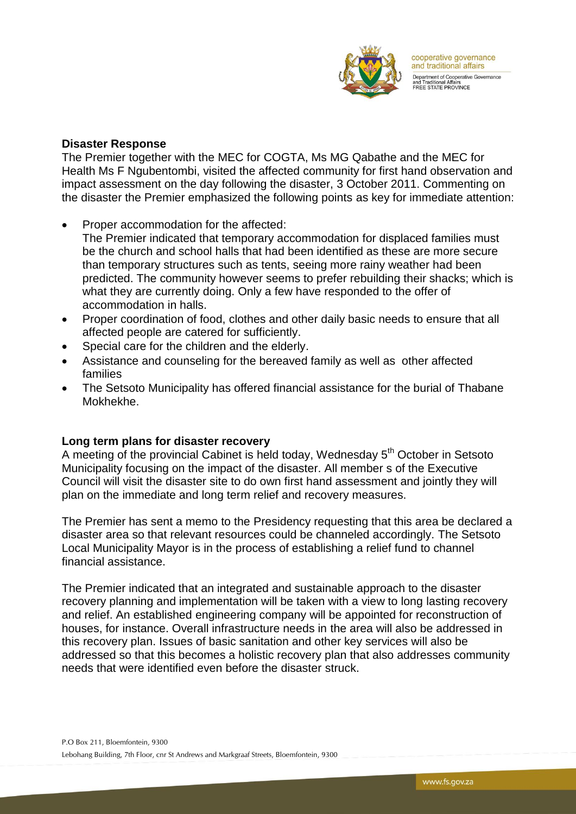

#### **Disaster Response**

The Premier together with the MEC for COGTA, Ms MG Qabathe and the MEC for Health Ms F Ngubentombi, visited the affected community for first hand observation and impact assessment on the day following the disaster, 3 October 2011. Commenting on the disaster the Premier emphasized the following points as key for immediate attention:

- Proper accommodation for the affected:
- The Premier indicated that temporary accommodation for displaced families must be the church and school halls that had been identified as these are more secure than temporary structures such as tents, seeing more rainy weather had been predicted. The community however seems to prefer rebuilding their shacks; which is what they are currently doing. Only a few have responded to the offer of accommodation in halls.
- Proper coordination of food, clothes and other daily basic needs to ensure that all affected people are catered for sufficiently.
- Special care for the children and the elderly.
- Assistance and counseling for the bereaved family as well as other affected families
- The Setsoto Municipality has offered financial assistance for the burial of Thabane Mokhekhe.

#### **Long term plans for disaster recovery**

A meeting of the provincial Cabinet is held today, Wednesday 5<sup>th</sup> October in Setsoto Municipality focusing on the impact of the disaster. All member s of the Executive Council will visit the disaster site to do own first hand assessment and jointly they will plan on the immediate and long term relief and recovery measures.

The Premier has sent a memo to the Presidency requesting that this area be declared a disaster area so that relevant resources could be channeled accordingly. The Setsoto Local Municipality Mayor is in the process of establishing a relief fund to channel financial assistance.

The Premier indicated that an integrated and sustainable approach to the disaster recovery planning and implementation will be taken with a view to long lasting recovery and relief. An established engineering company will be appointed for reconstruction of houses, for instance. Overall infrastructure needs in the area will also be addressed in this recovery plan. Issues of basic sanitation and other key services will also be addressed so that this becomes a holistic recovery plan that also addresses community needs that were identified even before the disaster struck.